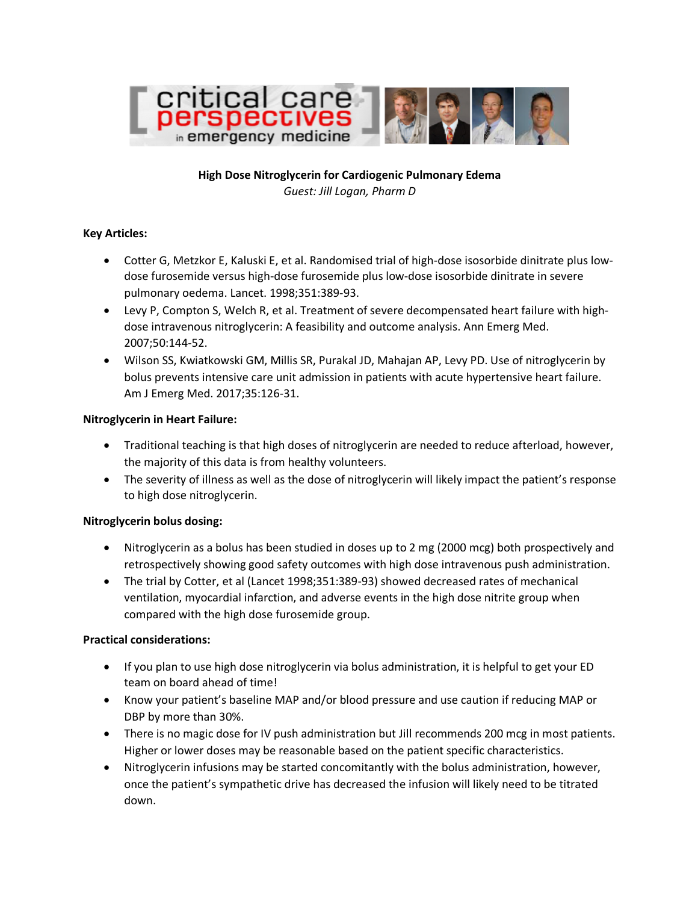

# **High Dose Nitroglycerin for Cardiogenic Pulmonary Edema**

*Guest: Jill Logan, Pharm D*

## **Key Articles:**

- Cotter G, Metzkor E, Kaluski E, et al. Randomised trial of high-dose isosorbide dinitrate plus lowdose furosemide versus high-dose furosemide plus low-dose isosorbide dinitrate in severe pulmonary oedema. Lancet. 1998;351:389-93.
- Levy P, Compton S, Welch R, et al. Treatment of severe decompensated heart failure with highdose intravenous nitroglycerin: A feasibility and outcome analysis. Ann Emerg Med. 2007;50:144-52.
- Wilson SS, Kwiatkowski GM, Millis SR, Purakal JD, Mahajan AP, Levy PD. Use of nitroglycerin by bolus prevents intensive care unit admission in patients with acute hypertensive heart failure. Am J Emerg Med. 2017;35:126-31.

## **Nitroglycerin in Heart Failure:**

- Traditional teaching is that high doses of nitroglycerin are needed to reduce afterload, however, the majority of this data is from healthy volunteers.
- The severity of illness as well as the dose of nitroglycerin will likely impact the patient's response to high dose nitroglycerin.

# **Nitroglycerin bolus dosing:**

- Nitroglycerin as a bolus has been studied in doses up to 2 mg (2000 mcg) both prospectively and retrospectively showing good safety outcomes with high dose intravenous push administration.
- The trial by Cotter, et al (Lancet 1998;351:389-93) showed decreased rates of mechanical ventilation, myocardial infarction, and adverse events in the high dose nitrite group when compared with the high dose furosemide group.

### **Practical considerations:**

- If you plan to use high dose nitroglycerin via bolus administration, it is helpful to get your ED team on board ahead of time!
- Know your patient's baseline MAP and/or blood pressure and use caution if reducing MAP or DBP by more than 30%.
- There is no magic dose for IV push administration but Jill recommends 200 mcg in most patients. Higher or lower doses may be reasonable based on the patient specific characteristics.
- Nitroglycerin infusions may be started concomitantly with the bolus administration, however, once the patient's sympathetic drive has decreased the infusion will likely need to be titrated down.